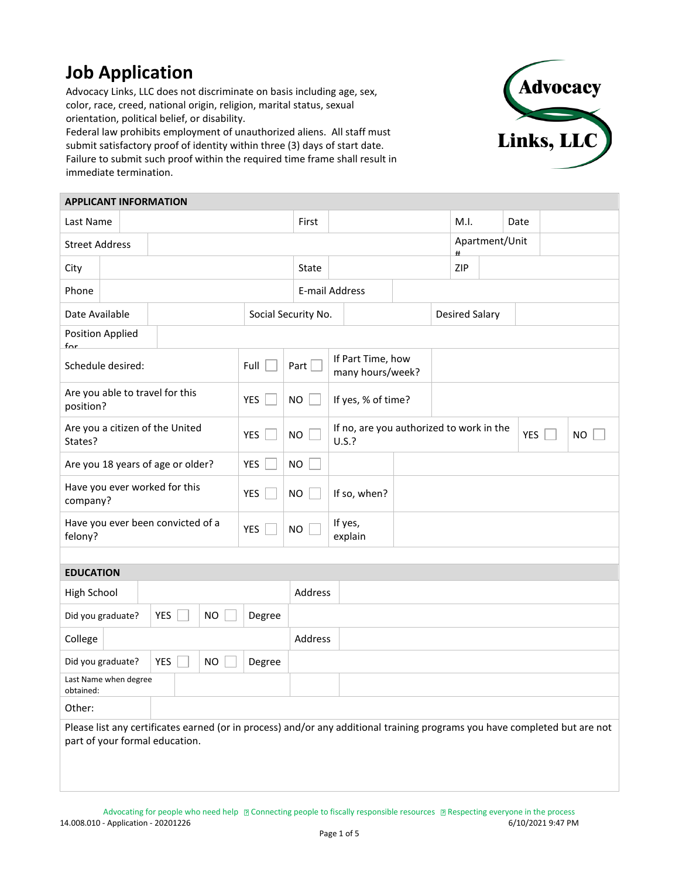## **Job Application**

Advocacy Links, LLC does not discriminate on basis including age, sex, color, race, creed, national origin, religion, marital status, sexual orientation, political belief, or disability.

Federal law prohibits employment of unauthorized aliens. All staff must submit satisfactory proof of identity within three (3) days of start date. Failure to submit such proof within the required time frame shall result in immediate termination.



|                                                                                                                                                              | <b>APPLICANT INFORMATION</b>      |     |  |            |                                               |                     |                                                   |  |                       |      |           |                |  |           |  |  |
|--------------------------------------------------------------------------------------------------------------------------------------------------------------|-----------------------------------|-----|--|------------|-----------------------------------------------|---------------------|---------------------------------------------------|--|-----------------------|------|-----------|----------------|--|-----------|--|--|
| Last Name                                                                                                                                                    |                                   |     |  |            | First                                         |                     |                                                   |  |                       | M.I. |           | Date           |  |           |  |  |
| <b>Street Address</b>                                                                                                                                        |                                   |     |  |            |                                               |                     |                                                   |  |                       |      | $\pmb{H}$ | Apartment/Unit |  |           |  |  |
| City                                                                                                                                                         |                                   |     |  |            |                                               | State               |                                                   |  |                       | ZIP  |           |                |  |           |  |  |
| Phone                                                                                                                                                        |                                   |     |  |            |                                               | E-mail Address      |                                                   |  |                       |      |           |                |  |           |  |  |
| Date Available                                                                                                                                               |                                   |     |  |            |                                               | Social Security No. |                                                   |  | <b>Desired Salary</b> |      |           |                |  |           |  |  |
| <b>Position Applied</b><br>$f_{\mathsf{\Omega}}$ r                                                                                                           |                                   |     |  |            |                                               |                     |                                                   |  |                       |      |           |                |  |           |  |  |
| Schedule desired:                                                                                                                                            |                                   |     |  | Full       | If Part Time, how<br>Part<br>many hours/week? |                     |                                                   |  |                       |      |           |                |  |           |  |  |
| Are you able to travel for this<br>position?                                                                                                                 |                                   |     |  | <b>YES</b> | <b>NO</b>                                     |                     | If yes, % of time?                                |  |                       |      |           |                |  |           |  |  |
| Are you a citizen of the United<br>States?                                                                                                                   |                                   |     |  | <b>YES</b> | <b>NO</b>                                     |                     | If no, are you authorized to work in the<br>U.S.? |  |                       |      |           | <b>YES</b>     |  | <b>NO</b> |  |  |
|                                                                                                                                                              | Are you 18 years of age or older? |     |  |            | <b>YES</b>                                    | <b>NO</b>           |                                                   |  |                       |      |           |                |  |           |  |  |
| Have you ever worked for this<br>company?                                                                                                                    |                                   |     |  | <b>YES</b> | <b>NO</b>                                     |                     | If so, when?                                      |  |                       |      |           |                |  |           |  |  |
| Have you ever been convicted of a<br>felony?                                                                                                                 |                                   |     |  | YES        | <b>NO</b>                                     |                     | If yes,<br>explain                                |  |                       |      |           |                |  |           |  |  |
|                                                                                                                                                              |                                   |     |  |            |                                               |                     |                                                   |  |                       |      |           |                |  |           |  |  |
| <b>EDUCATION</b>                                                                                                                                             |                                   |     |  |            |                                               |                     |                                                   |  |                       |      |           |                |  |           |  |  |
| High School                                                                                                                                                  |                                   |     |  |            |                                               | Address             |                                                   |  |                       |      |           |                |  |           |  |  |
|                                                                                                                                                              | Did you graduate?                 | YES |  | <b>NO</b>  | Degree                                        |                     |                                                   |  |                       |      |           |                |  |           |  |  |
| College                                                                                                                                                      |                                   |     |  |            |                                               | Address             |                                                   |  |                       |      |           |                |  |           |  |  |
|                                                                                                                                                              | Did you graduate?                 | YES |  | <b>NO</b>  | Degree                                        |                     |                                                   |  |                       |      |           |                |  |           |  |  |
| Last Name when degree<br>obtained:                                                                                                                           |                                   |     |  |            |                                               |                     |                                                   |  |                       |      |           |                |  |           |  |  |
| Other:                                                                                                                                                       |                                   |     |  |            |                                               |                     |                                                   |  |                       |      |           |                |  |           |  |  |
| Please list any certificates earned (or in process) and/or any additional training programs you have completed but are not<br>part of your formal education. |                                   |     |  |            |                                               |                     |                                                   |  |                       |      |           |                |  |           |  |  |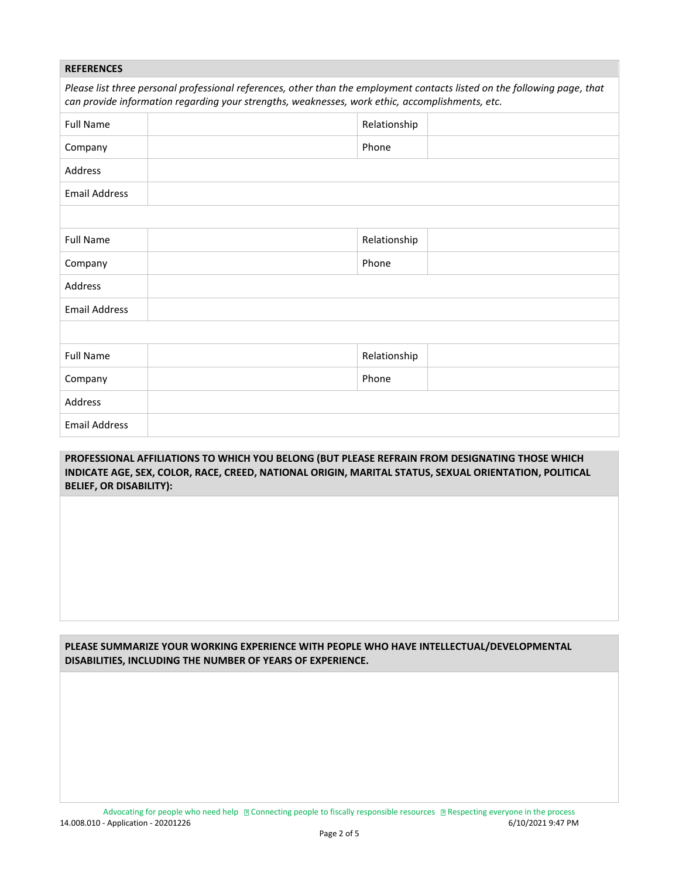| <b>REFERENCES</b>                                                                                                                                                                                                            |  |              |  |  |  |  |
|------------------------------------------------------------------------------------------------------------------------------------------------------------------------------------------------------------------------------|--|--------------|--|--|--|--|
| Please list three personal professional references, other than the employment contacts listed on the following page, that<br>can provide information regarding your strengths, weaknesses, work ethic, accomplishments, etc. |  |              |  |  |  |  |
| <b>Full Name</b>                                                                                                                                                                                                             |  | Relationship |  |  |  |  |
| Company                                                                                                                                                                                                                      |  | Phone        |  |  |  |  |
| Address                                                                                                                                                                                                                      |  |              |  |  |  |  |
| <b>Email Address</b>                                                                                                                                                                                                         |  |              |  |  |  |  |
|                                                                                                                                                                                                                              |  |              |  |  |  |  |
| <b>Full Name</b>                                                                                                                                                                                                             |  | Relationship |  |  |  |  |
| Company                                                                                                                                                                                                                      |  | Phone        |  |  |  |  |
| Address                                                                                                                                                                                                                      |  |              |  |  |  |  |
| <b>Email Address</b>                                                                                                                                                                                                         |  |              |  |  |  |  |
|                                                                                                                                                                                                                              |  |              |  |  |  |  |
| <b>Full Name</b>                                                                                                                                                                                                             |  | Relationship |  |  |  |  |
| Company                                                                                                                                                                                                                      |  | Phone        |  |  |  |  |
| Address                                                                                                                                                                                                                      |  |              |  |  |  |  |
| <b>Email Address</b>                                                                                                                                                                                                         |  |              |  |  |  |  |

## **PROFESSIONAL AFFILIATIONS TO WHICH YOU BELONG (BUT PLEASE REFRAIN FROM DESIGNATING THOSE WHICH INDICATE AGE, SEX, COLOR, RACE, CREED, NATIONAL ORIGIN, MARITAL STATUS, SEXUAL ORIENTATION, POLITICAL BELIEF, OR DISABILITY):**

**PLEASE SUMMARIZE YOUR WORKING EXPERIENCE WITH PEOPLE WHO HAVE INTELLECTUAL/DEVELOPMENTAL DISABILITIES, INCLUDING THE NUMBER OF YEARS OF EXPERIENCE.**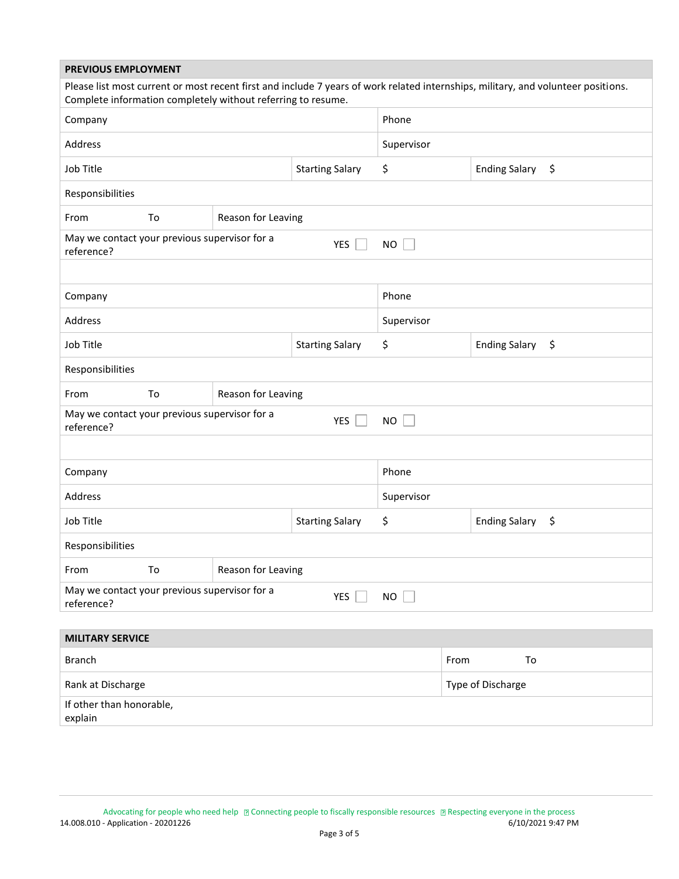| <b>PREVIOUS EMPLOYMENT</b>                                                               |    |                                                              |                                  |                            |                                                                                                                                   |  |  |  |
|------------------------------------------------------------------------------------------|----|--------------------------------------------------------------|----------------------------------|----------------------------|-----------------------------------------------------------------------------------------------------------------------------------|--|--|--|
|                                                                                          |    | Complete information completely without referring to resume. |                                  |                            | Please list most current or most recent first and include 7 years of work related internships, military, and volunteer positions. |  |  |  |
| Company                                                                                  |    |                                                              | Phone                            |                            |                                                                                                                                   |  |  |  |
| Address                                                                                  |    |                                                              | Supervisor                       |                            |                                                                                                                                   |  |  |  |
| Job Title                                                                                |    |                                                              | \$                               | <b>Ending Salary</b><br>\$ |                                                                                                                                   |  |  |  |
| Responsibilities                                                                         |    |                                                              |                                  |                            |                                                                                                                                   |  |  |  |
| From                                                                                     | To | Reason for Leaving                                           |                                  |                            |                                                                                                                                   |  |  |  |
| May we contact your previous supervisor for a<br>YES<br><b>NO</b><br>reference?          |    |                                                              |                                  |                            |                                                                                                                                   |  |  |  |
|                                                                                          |    |                                                              |                                  |                            |                                                                                                                                   |  |  |  |
| Company                                                                                  |    |                                                              | Phone                            |                            |                                                                                                                                   |  |  |  |
| Address                                                                                  |    |                                                              | Supervisor                       |                            |                                                                                                                                   |  |  |  |
| Job Title                                                                                |    |                                                              | \$                               | <b>Ending Salary</b><br>\$ |                                                                                                                                   |  |  |  |
| Responsibilities                                                                         |    |                                                              |                                  |                            |                                                                                                                                   |  |  |  |
| From                                                                                     | To | Reason for Leaving                                           |                                  |                            |                                                                                                                                   |  |  |  |
| May we contact your previous supervisor for a<br><b>YES</b><br><b>NO</b><br>reference?   |    |                                                              |                                  |                            |                                                                                                                                   |  |  |  |
|                                                                                          |    |                                                              |                                  |                            |                                                                                                                                   |  |  |  |
| Company                                                                                  |    |                                                              | Phone                            |                            |                                                                                                                                   |  |  |  |
| Address                                                                                  |    |                                                              | Supervisor                       |                            |                                                                                                                                   |  |  |  |
| Job Title                                                                                |    |                                                              | \$<br>\$<br><b>Ending Salary</b> |                            |                                                                                                                                   |  |  |  |
| Responsibilities                                                                         |    |                                                              |                                  |                            |                                                                                                                                   |  |  |  |
| From                                                                                     | To | Reason for Leaving                                           |                                  |                            |                                                                                                                                   |  |  |  |
| May we contact your previous supervisor for a<br><b>YES</b><br>$NO$ $\Box$<br>reference? |    |                                                              |                                  |                            |                                                                                                                                   |  |  |  |
| <b>MILITARY SERVICE</b>                                                                  |    |                                                              |                                  |                            |                                                                                                                                   |  |  |  |
| <b>Branch</b>                                                                            |    |                                                              |                                  |                            | From<br>To                                                                                                                        |  |  |  |
| Rank at Discharge                                                                        |    |                                                              |                                  | Type of Discharge          |                                                                                                                                   |  |  |  |
| If other than honorable,<br>explain                                                      |    |                                                              |                                  |                            |                                                                                                                                   |  |  |  |